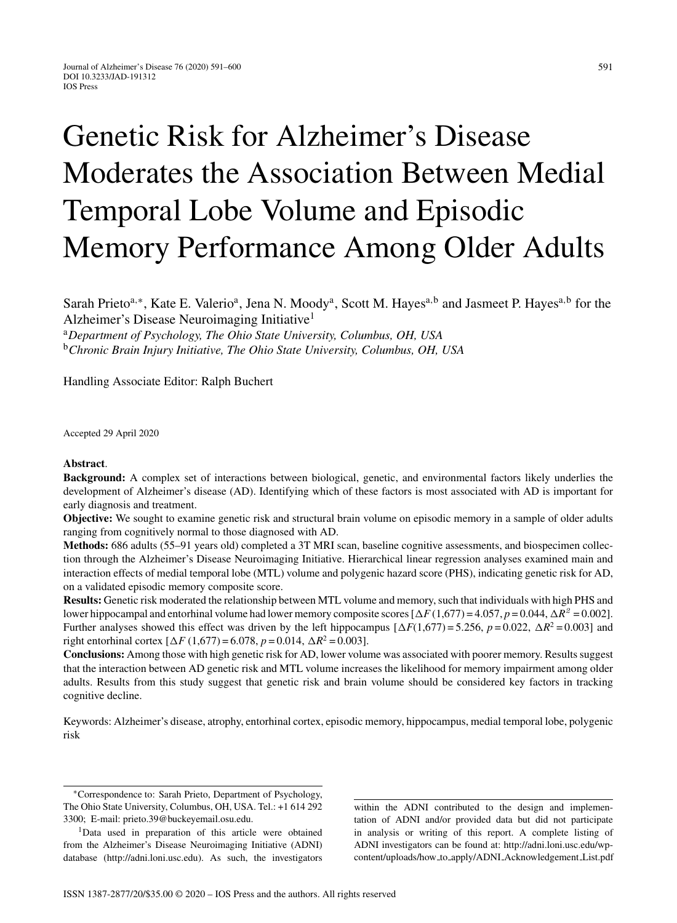# Genetic Risk for Alzheimer's Disease Moderates the Association Between Medial Temporal Lobe Volume and Episodic Memory Performance Among Older Adults

Sarah Prieto<sup>a,∗</sup>, Kate E. Valerio<sup>a</sup>, Jena N. Moody<sup>a</sup>, Scott M. Hayes<sup>a,b</sup> and Jasmeet P. Hayes<sup>a,b</sup> for the Alzheimer's Disease Neuroimaging Initiative1

<sup>a</sup>*Department of Psychology, The Ohio State University, Columbus, OH, USA* <sup>b</sup>*Chronic Brain Injury Initiative, The Ohio State University, Columbus, OH, USA*

Handling Associate Editor: Ralph Buchert

Accepted 29 April 2020

#### **Abstract**.

**Background:** A complex set of interactions between biological, genetic, and environmental factors likely underlies the development of Alzheimer's disease (AD). Identifying which of these factors is most associated with AD is important for early diagnosis and treatment.

**Objective:** We sought to examine genetic risk and structural brain volume on episodic memory in a sample of older adults ranging from cognitively normal to those diagnosed with AD.

**Methods:** 686 adults (55–91 years old) completed a 3T MRI scan, baseline cognitive assessments, and biospecimen collection through the Alzheimer's Disease Neuroimaging Initiative. Hierarchical linear regression analyses examined main and interaction effects of medial temporal lobe (MTL) volume and polygenic hazard score (PHS), indicating genetic risk for AD, on a validated episodic memory composite score.

**Results:** Genetic risk moderated the relationship between MTL volume and memory, such that individuals with high PHS and lower hippocampal and entorhinal volume had lower memory composite scores  $[\Delta F(1,677) = 4.057, p = 0.044, \Delta R^2 = 0.002]$ . Further analyses showed this effect was driven by the left hippocampus  $[\Delta F(1,677) = 5.256, p = 0.022, \Delta R^2 = 0.003]$  and right entorhinal cortex  $[\Delta F (1,677) = 6.078, p = 0.014, \Delta R^2 = 0.003]$ .

**Conclusions:** Among those with high genetic risk for AD, lower volume was associated with poorer memory. Results suggest that the interaction between AD genetic risk and MTL volume increases the likelihood for memory impairment among older adults. Results from this study suggest that genetic risk and brain volume should be considered key factors in tracking cognitive decline.

Keywords: Alzheimer's disease, atrophy, entorhinal cortex, episodic memory, hippocampus, medial temporal lobe, polygenic risk

within the ADNI contributed to the design and implementation of ADNI and/or provided data but did not participate in analysis or writing of this report. A complete listing of ADNI investigators can be found at: [http://adni.loni.usc.edu/wp](http://adni.loni.usc.edu/wp-content/uploads/how_to_apply/ADNI_Acknowledgement_List.pdf)content/uploads/how to apply/ADNI Acknowledgement List.pdf

<sup>∗</sup>Correspondence to: Sarah Prieto, Department of Psychology, The Ohio State University, Columbus, OH, USA. Tel.: +1 614 292 3300; E-mail: [prieto.39@buckeyemail.osu.edu.](mailto:prieto.39@buckeyemail.osu.edu)

<sup>&</sup>lt;sup>1</sup>Data used in preparation of this article were obtained from the Alzheimer's Disease Neuroimaging Initiative (ADNI) database [\(http://adni.loni.usc.edu](http://adni.loni.usc.edu)). As such, the investigators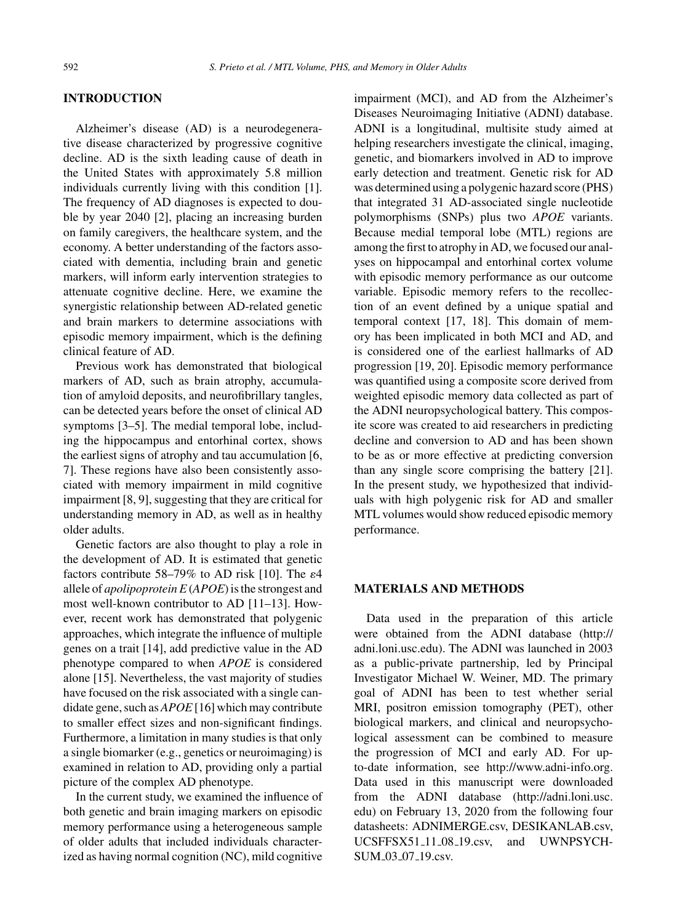### **INTRODUCTION**

Alzheimer's disease (AD) is a neurodegenerative disease characterized by progressive cognitive decline. AD is the sixth leading cause of death in the United States with approximately 5.8 million individuals currently living with this condition [1]. The frequency of AD diagnoses is expected to double by year 2040 [2], placing an increasing burden on family caregivers, the healthcare system, and the economy. A better understanding of the factors associated with dementia, including brain and genetic markers, will inform early intervention strategies to attenuate cognitive decline. Here, we examine the synergistic relationship between AD-related genetic and brain markers to determine associations with episodic memory impairment, which is the defining clinical feature of AD.

Previous work has demonstrated that biological markers of AD, such as brain atrophy, accumulation of amyloid deposits, and neurofibrillary tangles, can be detected years before the onset of clinical AD symptoms [3–5]. The medial temporal lobe, including the hippocampus and entorhinal cortex, shows the earliest signs of atrophy and tau accumulation [6, 7]. These regions have also been consistently associated with memory impairment in mild cognitive impairment [8, 9], suggesting that they are critical for understanding memory in AD, as well as in healthy older adults.

Genetic factors are also thought to play a role in the development of AD. It is estimated that genetic factors contribute 58–79% to AD risk [10]. The  $\varepsilon$ 4 allele of *apolipoprotein E* (*APOE*) is the strongest and most well-known contributor to AD [11–13]. However, recent work has demonstrated that polygenic approaches, which integrate the influence of multiple genes on a trait [14], add predictive value in the AD phenotype compared to when *APOE* is considered alone [15]. Nevertheless, the vast majority of studies have focused on the risk associated with a single candidate gene, such as *APOE* [16] which may contribute to smaller effect sizes and non-significant findings. Furthermore, a limitation in many studies is that only a single biomarker (e.g., genetics or neuroimaging) is examined in relation to AD, providing only a partial picture of the complex AD phenotype.

In the current study, we examined the influence of both genetic and brain imaging markers on episodic memory performance using a heterogeneous sample of older adults that included individuals characterized as having normal cognition (NC), mild cognitive

impairment (MCI), and AD from the Alzheimer's Diseases Neuroimaging Initiative (ADNI) database. ADNI is a longitudinal, multisite study aimed at helping researchers investigate the clinical, imaging, genetic, and biomarkers involved in AD to improve early detection and treatment. Genetic risk for AD was determined using a polygenic hazard score (PHS) that integrated 31 AD-associated single nucleotide polymorphisms (SNPs) plus two *APOE* variants. Because medial temporal lobe (MTL) regions are among the first to atrophy in AD, we focused our analyses on hippocampal and entorhinal cortex volume with episodic memory performance as our outcome variable. Episodic memory refers to the recollection of an event defined by a unique spatial and temporal context [17, 18]. This domain of memory has been implicated in both MCI and AD, and is considered one of the earliest hallmarks of AD progression [19, 20]. Episodic memory performance was quantified using a composite score derived from weighted episodic memory data collected as part of the ADNI neuropsychological battery. This composite score was created to aid researchers in predicting decline and conversion to AD and has been shown to be as or more effective at predicting conversion than any single score comprising the battery [21]. In the present study, we hypothesized that individuals with high polygenic risk for AD and smaller MTL volumes would show reduced episodic memory performance.

# **MATERIALS AND METHODS**

Data used in the preparation of this article were obtained from the ADNI database [\(http://](http://adni.loni.usc.edu) [adni.loni.usc.edu\)](http://adni.loni.usc.edu). The ADNI was launched in 2003 as a public-private partnership, led by Principal Investigator Michael W. Weiner, MD. The primary goal of ADNI has been to test whether serial MRI, positron emission tomography (PET), other biological markers, and clinical and neuropsychological assessment can be combined to measure the progression of MCI and early AD. For upto-date information, see [http://www.adni-info.org.](http://www.adni-info.org) Data used in this manuscript were downloaded from the ADNI database ([http://adni.loni.usc.](http://adni.loni.usc.edu) [edu](http://adni.loni.usc.edu)) on February 13, 2020 from the following four datasheets: ADNIMERGE.csv, DESIKANLAB.csv, UCSFFSX51<sub>-11-08-19.csv</sub>, and UWNPSYCH-SUM 03 07 19.csv.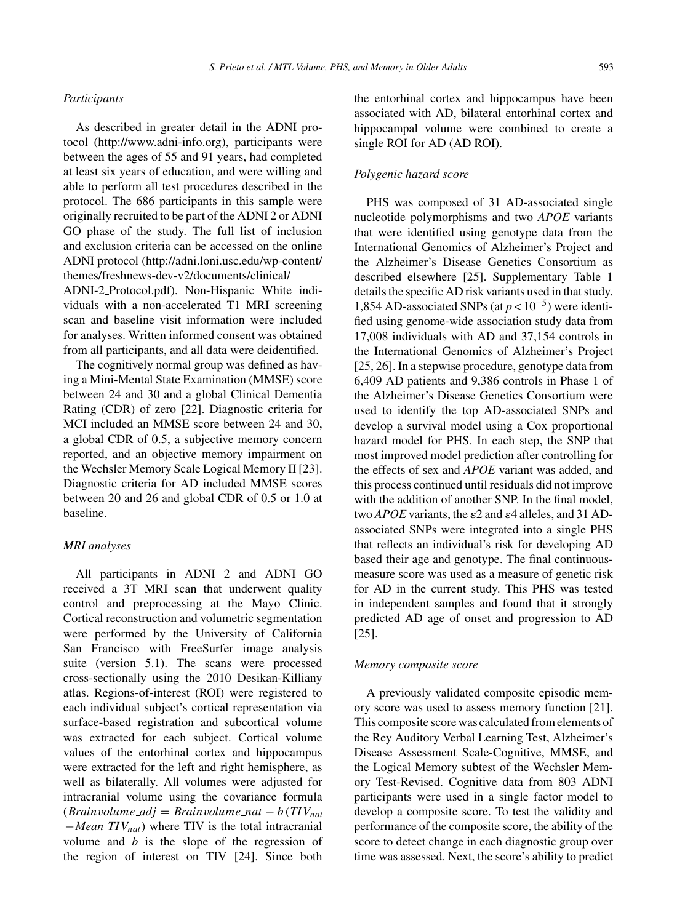# *Participants*

As described in greater detail in the ADNI protocol (<http://www.adni-info.org>), participants were between the ages of 55 and 91 years, had completed at least six years of education, and were willing and able to perform all test procedures described in the protocol. The 686 participants in this sample were originally recruited to be part of the ADNI 2 or ADNI GO phase of the study. The full list of inclusion and exclusion criteria can be accessed on the online ADNI protocol [\(http://adni.loni.usc.edu/wp-content/](http://adni.loni.usc.edu/wp-content/themes/freshnews-dev-v2/documents/clinical/ADNI-2_Protocol.pdf) [themes/freshnews-dev-v2/documents/clinical/](http://adni.loni.usc.edu/wp-content/themes/freshnews-dev-v2/documents/clinical/ADNI-2_Protocol.pdf) ADNI-2 [Protocol.pdf](http://adni.loni.usc.edu/wp-content/themes/freshnews-dev-v2/documents/clinical/ADNI-2_Protocol.pdf)). Non-Hispanic White individuals with a non-accelerated T1 MRI screening scan and baseline visit information were included for analyses. Written informed consent was obtained from all participants, and all data were deidentified.

The cognitively normal group was defined as having a Mini-Mental State Examination (MMSE) score between 24 and 30 and a global Clinical Dementia Rating (CDR) of zero [22]. Diagnostic criteria for MCI included an MMSE score between 24 and 30, a global CDR of 0.5, a subjective memory concern reported, and an objective memory impairment on the Wechsler Memory Scale Logical Memory II [23]. Diagnostic criteria for AD included MMSE scores between 20 and 26 and global CDR of 0.5 or 1.0 at baseline.

## *MRI analyses*

All participants in ADNI 2 and ADNI GO received a 3T MRI scan that underwent quality control and preprocessing at the Mayo Clinic. Cortical reconstruction and volumetric segmentation were performed by the University of California San Francisco with FreeSurfer image analysis suite (version 5.1). The scans were processed cross-sectionally using the 2010 Desikan-Killiany atlas. Regions-of-interest (ROI) were registered to each individual subject's cortical representation via surface-based registration and subcortical volume was extracted for each subject. Cortical volume values of the entorhinal cortex and hippocampus were extracted for the left and right hemisphere, as well as bilaterally. All volumes were adjusted for intracranial volume using the covariance formula (*Brainvolume adj* <sup>=</sup> *Brainvolume nat* <sup>−</sup> *<sup>b</sup>* (*TIVnat* <sup>−</sup>*Mean TIVnat*) where TIV is the total intracranial volume and *b* is the slope of the regression of the region of interest on TIV [24]. Since both

the entorhinal cortex and hippocampus have been associated with AD, bilateral entorhinal cortex and hippocampal volume were combined to create a single ROI for AD (AD ROI).

#### *Polygenic hazard score*

PHS was composed of 31 AD-associated single nucleotide polymorphisms and two *APOE* variants that were identified using genotype data from the International Genomics of Alzheimer's Project and the Alzheimer's Disease Genetics Consortium as described elsewhere [25]. Supplementary Table 1 details the specific AD risk variants used in that study. 1,854 AD-associated SNPs (at  $p < 10^{-5}$ ) were identified using genome-wide association study data from 17,008 individuals with AD and 37,154 controls in the International Genomics of Alzheimer's Project [25, 26]. In a stepwise procedure, genotype data from 6,409 AD patients and 9,386 controls in Phase 1 of the Alzheimer's Disease Genetics Consortium were used to identify the top AD-associated SNPs and develop a survival model using a Cox proportional hazard model for PHS. In each step, the SNP that most improved model prediction after controlling for the effects of sex and *APOE* variant was added, and this process continued until residuals did not improve with the addition of another SNP. In the final model, two *APOE* variants, the  $\varepsilon$ 2 and  $\varepsilon$ 4 alleles, and 31 ADassociated SNPs were integrated into a single PHS that reflects an individual's risk for developing AD based their age and genotype. The final continuousmeasure score was used as a measure of genetic risk for AD in the current study. This PHS was tested in independent samples and found that it strongly predicted AD age of onset and progression to AD [25].

#### *Memory composite score*

A previously validated composite episodic memory score was used to assess memory function [21]. This composite score was calculated from elements of the Rey Auditory Verbal Learning Test, Alzheimer's Disease Assessment Scale-Cognitive, MMSE, and the Logical Memory subtest of the Wechsler Memory Test-Revised. Cognitive data from 803 ADNI participants were used in a single factor model to develop a composite score. To test the validity and performance of the composite score, the ability of the score to detect change in each diagnostic group over time was assessed. Next, the score's ability to predict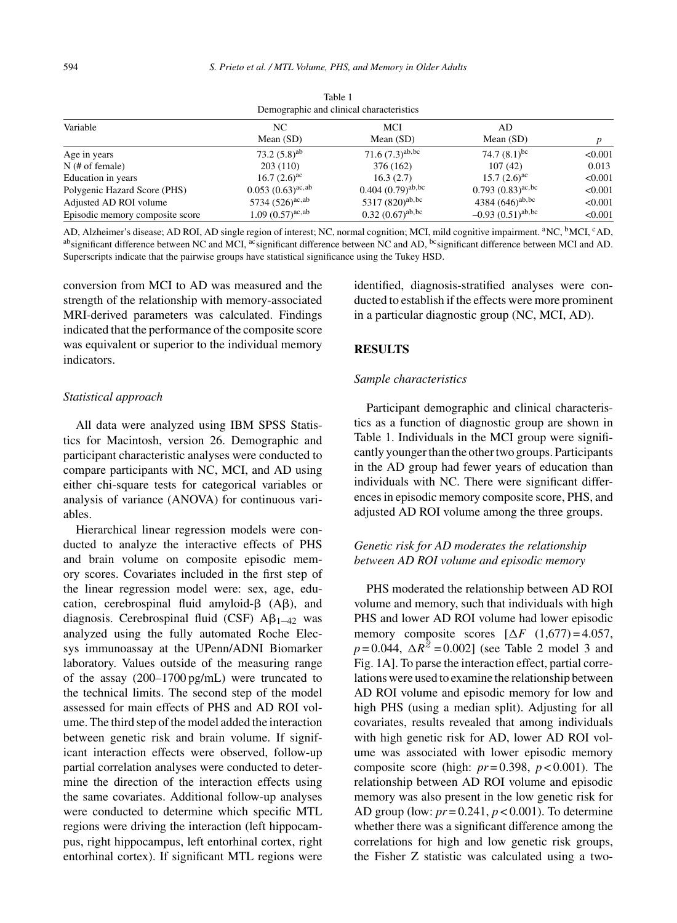| Demographic and clinical characteristics |                        |                                |                                |         |  |  |  |  |  |
|------------------------------------------|------------------------|--------------------------------|--------------------------------|---------|--|--|--|--|--|
| Variable                                 | NC.<br>Mean $(SD)$     | MCI<br>Mean $(SD)$             | AD<br>Mean $(SD)$              | n       |  |  |  |  |  |
| Age in years                             | 73.2 $(5.8)^{ab}$      | $71.6 (7.3)^{ab, bc}$          | 74.7 $(8.1)^{bc}$              | < 0.001 |  |  |  |  |  |
| $N$ (# of female)                        | 203(110)               | 376 (162)                      | 107(42)                        | 0.013   |  |  |  |  |  |
| Education in years                       | $16.7 (2.6)^{ac}$      | 16.3(2.7)                      | $15.7 (2.6)^{ac}$              | < 0.001 |  |  |  |  |  |
| Polygenic Hazard Score (PHS)             | $0.053(0.63)^{ac,ab}$  | $0.404(0.79)$ <sup>ab,bc</sup> | $(0.793)(0.83)^{ac, bc}$       | < 0.001 |  |  |  |  |  |
| Adjusted AD ROI volume                   | 5734 $(526)^{ac,ab}$   | 5317 $(820)^{ab, bc}$          | 4384 $(646)^{ab, bc}$          | < 0.001 |  |  |  |  |  |
| Episodic memory composite score          | $1.09 (0.57)^{ac, ab}$ | $0.32 (0.67)^{ab, bc}$         | $-0.93(0.51)$ <sup>ab,bc</sup> | < 0.001 |  |  |  |  |  |

Table 1

AD, Alzheimer's disease; AD ROI, AD single region of interest; NC, normal cognition; MCI, mild cognitive impairment. <sup>a</sup>NC, <sup>b</sup>MCI, <sup>c</sup>AD, absignificant difference between NC and MCI, acsignificant difference between NC and AD, <sup>bc</sup>significant difference between MCI and AD. Superscripts indicate that the pairwise groups have statistical significance using the Tukey HSD.

conversion from MCI to AD was measured and the strength of the relationship with memory-associated MRI-derived parameters was calculated. Findings indicated that the performance of the composite score was equivalent or superior to the individual memory indicators.

#### *Statistical approach*

All data were analyzed using IBM SPSS Statistics for Macintosh, version 26. Demographic and participant characteristic analyses were conducted to compare participants with NC, MCI, and AD using either chi-square tests for categorical variables or analysis of variance (ANOVA) for continuous variables.

Hierarchical linear regression models were conducted to analyze the interactive effects of PHS and brain volume on composite episodic memory scores. Covariates included in the first step of the linear regression model were: sex, age, education, cerebrospinal fluid amyloid- $\beta$  (A $\beta$ ), and diagnosis. Cerebrospinal fluid (CSF)  $A\beta_{1-42}$  was analyzed using the fully automated Roche Elecsys immunoassay at the UPenn/ADNI Biomarker laboratory. Values outside of the measuring range of the assay (200–1700 pg/mL) were truncated to the technical limits. The second step of the model assessed for main effects of PHS and AD ROI volume. The third step of the model added the interaction between genetic risk and brain volume. If significant interaction effects were observed, follow-up partial correlation analyses were conducted to determine the direction of the interaction effects using the same covariates. Additional follow-up analyses were conducted to determine which specific MTL regions were driving the interaction (left hippocampus, right hippocampus, left entorhinal cortex, right entorhinal cortex). If significant MTL regions were

identified, diagnosis-stratified analyses were conducted to establish if the effects were more prominent in a particular diagnostic group (NC, MCI, AD).

## **RESULTS**

#### *Sample characteristics*

Participant demographic and clinical characteristics as a function of diagnostic group are shown in Table 1. Individuals in the MCI group were significantly younger than the other two groups. Participants in the AD group had fewer years of education than individuals with NC. There were significant differences in episodic memory composite score, PHS, and adjusted AD ROI volume among the three groups.

# *Genetic risk for AD moderates the relationship between AD ROI volume and episodic memory*

PHS moderated the relationship between AD ROI volume and memory, such that individuals with high PHS and lower AD ROI volume had lower episodic memory composite scores  $[\Delta F (1,677) = 4.057]$  $p = 0.044$ ,  $\Delta R^2 = 0.002$  (see Table 2 model 3 and Fig. 1A]. To parse the interaction effect, partial correlations were used to examine the relationship between AD ROI volume and episodic memory for low and high PHS (using a median split). Adjusting for all covariates, results revealed that among individuals with high genetic risk for AD, lower AD ROI volume was associated with lower episodic memory composite score (high: *pr* = 0.398, *p* < 0.001). The relationship between AD ROI volume and episodic memory was also present in the low genetic risk for AD group (low: *pr* = 0.241, *p* < 0.001). To determine whether there was a significant difference among the correlations for high and low genetic risk groups, the Fisher Z statistic was calculated using a two-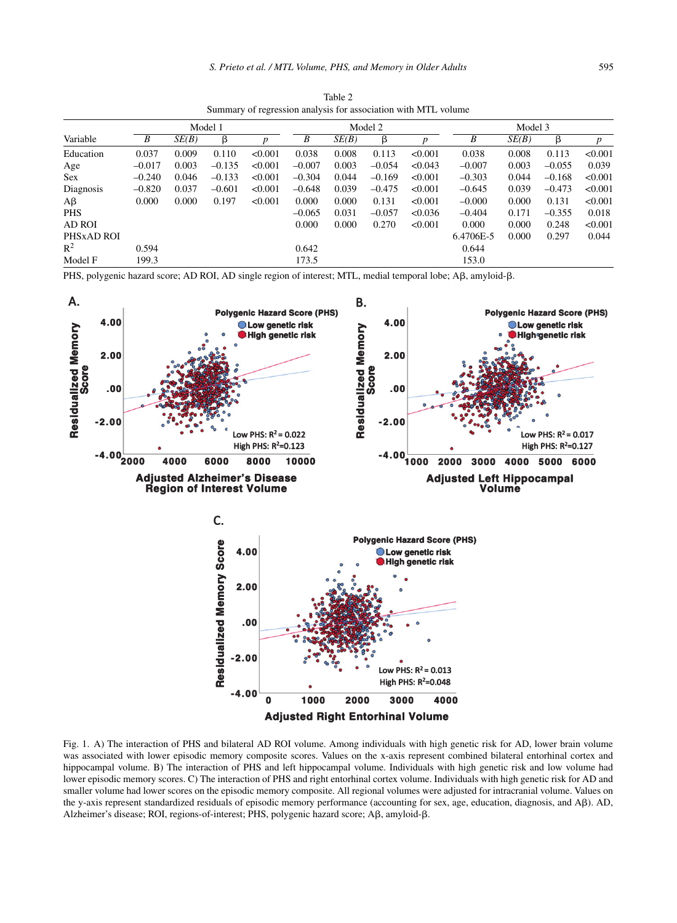|                | Model 1  |       |          | Model 2 |          |       | Model 3  |         |           |       |          |                  |
|----------------|----------|-------|----------|---------|----------|-------|----------|---------|-----------|-------|----------|------------------|
| Variable       | B        | SE(B) | β        | D       | B        | SE(B) | β        | D       | B         | SE(B) | β        | $\boldsymbol{p}$ |
| Education      | 0.037    | 0.009 | 0.110    | < 0.001 | 0.038    | 0.008 | 0.113    | < 0.001 | 0.038     | 0.008 | 0.113    | < 0.001          |
| Age            | $-0.017$ | 0.003 | $-0.135$ | < 0.001 | $-0.007$ | 0.003 | $-0.054$ | < 0.043 | $-0.007$  | 0.003 | $-0.055$ | 0.039            |
| <b>Sex</b>     | $-0.240$ | 0.046 | $-0.133$ | < 0.001 | $-0.304$ | 0.044 | $-0.169$ | < 0.001 | $-0.303$  | 0.044 | $-0.168$ | < 0.001          |
| Diagnosis      | $-0.820$ | 0.037 | $-0.601$ | < 0.001 | $-0.648$ | 0.039 | $-0.475$ | < 0.001 | $-0.645$  | 0.039 | $-0.473$ | < 0.001          |
| $A\beta$       | 0.000    | 0.000 | 0.197    | < 0.001 | 0.000    | 0.000 | 0.131    | < 0.001 | $-0.000$  | 0.000 | 0.131    | < 0.001          |
| <b>PHS</b>     |          |       |          |         | $-0.065$ | 0.031 | $-0.057$ | < 0.036 | $-0.404$  | 0.171 | $-0.355$ | 0.018            |
| <b>AD ROI</b>  |          |       |          |         | 0.000    | 0.000 | 0.270    | < 0.001 | 0.000     | 0.000 | 0.248    | < 0.001          |
| PHSxAD ROI     |          |       |          |         |          |       |          |         | 6.4706E-5 | 0.000 | 0.297    | 0.044            |
| $\mathbb{R}^2$ | 0.594    |       |          |         | 0.642    |       |          |         | 0.644     |       |          |                  |
| Model F        | 199.3    |       |          |         | 173.5    |       |          |         | 153.0     |       |          |                  |

Table 2 Summary of regression analysis for association with MTL volume

PHS, polygenic hazard score; AD ROI, AD single region of interest; MTL, medial temporal lobe; A $\beta$ , amyloid- $\beta$ .



Fig. 1. A) The interaction of PHS and bilateral AD ROI volume. Among individuals with high genetic risk for AD, lower brain volume was associated with lower episodic memory composite scores. Values on the x-axis represent combined bilateral entorhinal cortex and hippocampal volume. B) The interaction of PHS and left hippocampal volume. Individuals with high genetic risk and low volume had lower episodic memory scores. C) The interaction of PHS and right entorhinal cortex volume. Individuals with high genetic risk for AD and smaller volume had lower scores on the episodic memory composite. All regional volumes were adjusted for intracranial volume. Values on the y-axis represent standardized residuals of episodic memory performance (accounting for sex, age, education, diagnosis, and A $\beta$ ). AD, Alzheimer's disease; ROI, regions-of-interest; PHS, polygenic hazard score;  $\text{A}\beta$ , amyloid- $\beta$ .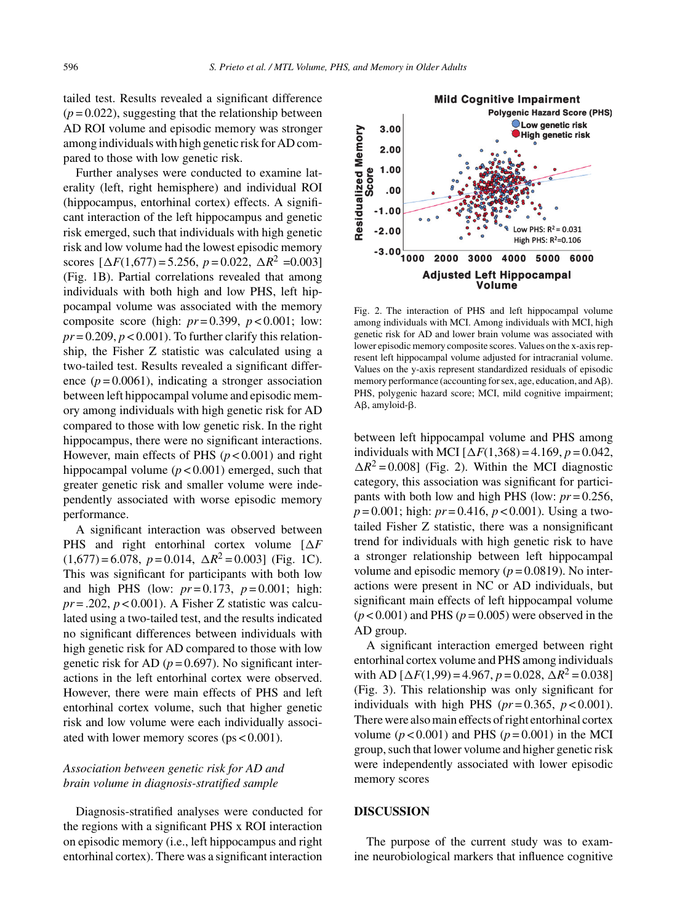tailed test. Results revealed a significant difference  $(p=0.022)$ , suggesting that the relationship between AD ROI volume and episodic memory was stronger among individuals with high genetic risk for AD compared to those with low genetic risk.

Further analyses were conducted to examine laterality (left, right hemisphere) and individual ROI (hippocampus, entorhinal cortex) effects. A significant interaction of the left hippocampus and genetic risk emerged, such that individuals with high genetic risk and low volume had the lowest episodic memory scores  $[\Delta F(1,677) = 5.256, p = 0.022, \Delta R^2 = 0.003]$ (Fig. 1B). Partial correlations revealed that among individuals with both high and low PHS, left hippocampal volume was associated with the memory composite score (high:  $pr=0.399$ ,  $p < 0.001$ ; low:  $pr = 0.209$ ,  $p < 0.001$ ). To further clarify this relationship, the Fisher Z statistic was calculated using a two-tailed test. Results revealed a significant difference  $(p=0.0061)$ , indicating a stronger association between left hippocampal volume and episodic memory among individuals with high genetic risk for AD compared to those with low genetic risk. In the right hippocampus, there were no significant interactions. However, main effects of PHS  $(p < 0.001)$  and right hippocampal volume (*p* < 0.001) emerged, such that greater genetic risk and smaller volume were independently associated with worse episodic memory performance.

A significant interaction was observed between PHS and right entorhinal cortex volume  $[\Delta F]$  $(1,677) = 6.078$ ,  $p = 0.014$ ,  $\Delta R^2 = 0.003$ ] (Fig. 1C). This was significant for participants with both low and high PHS (low:  $pr = 0.173$ ,  $p = 0.001$ ; high:  $pr = .202$ ,  $p < 0.001$ ). A Fisher Z statistic was calculated using a two-tailed test, and the results indicated no significant differences between individuals with high genetic risk for AD compared to those with low genetic risk for AD ( $p = 0.697$ ). No significant interactions in the left entorhinal cortex were observed. However, there were main effects of PHS and left entorhinal cortex volume, such that higher genetic risk and low volume were each individually associated with lower memory scores (ps < 0.001).

# *Association between genetic risk for AD and brain volume in diagnosis-stratified sample*

Diagnosis-stratified analyses were conducted for the regions with a significant PHS x ROI interaction on episodic memory (i.e., left hippocampus and right entorhinal cortex). There was a significant interaction



Fig. 2. The interaction of PHS and left hippocampal volume among individuals with MCI. Among individuals with MCI, high genetic risk for AD and lower brain volume was associated with lower episodic memory composite scores. Values on the x-axis represent left hippocampal volume adjusted for intracranial volume. Values on the y-axis represent standardized residuals of episodic memory performance (accounting for sex, age, education, and A $\beta$ ). PHS, polygenic hazard score; MCI, mild cognitive impairment;  $A\beta$ , amyloid- $\beta$ .

between left hippocampal volume and PHS among individuals with MCI  $[\Delta F(1,368) = 4.169, p = 0.042]$  $\Delta R^2 = 0.008$ ] (Fig. 2). Within the MCI diagnostic category, this association was significant for participants with both low and high PHS (low: *pr* = 0.256, *p* = 0.001; high: *pr* = 0.416, *p* < 0.001). Using a twotailed Fisher Z statistic, there was a nonsignificant trend for individuals with high genetic risk to have a stronger relationship between left hippocampal volume and episodic memory  $(p = 0.0819)$ . No interactions were present in NC or AD individuals, but significant main effects of left hippocampal volume  $(p<0.001)$  and PHS  $(p=0.005)$  were observed in the AD group.

A significant interaction emerged between right entorhinal cortex volume and PHS among individuals with AD  $[\Delta F(1,99) = 4.967, p = 0.028, \Delta R^2 = 0.038]$ (Fig. 3). This relationship was only significant for individuals with high PHS ( $pr = 0.365$ ,  $p < 0.001$ ). There were also main effects of right entorhinal cortex volume  $(p < 0.001)$  and PHS  $(p = 0.001)$  in the MCI group, such that lower volume and higher genetic risk were independently associated with lower episodic memory scores

#### **DISCUSSION**

The purpose of the current study was to examine neurobiological markers that influence cognitive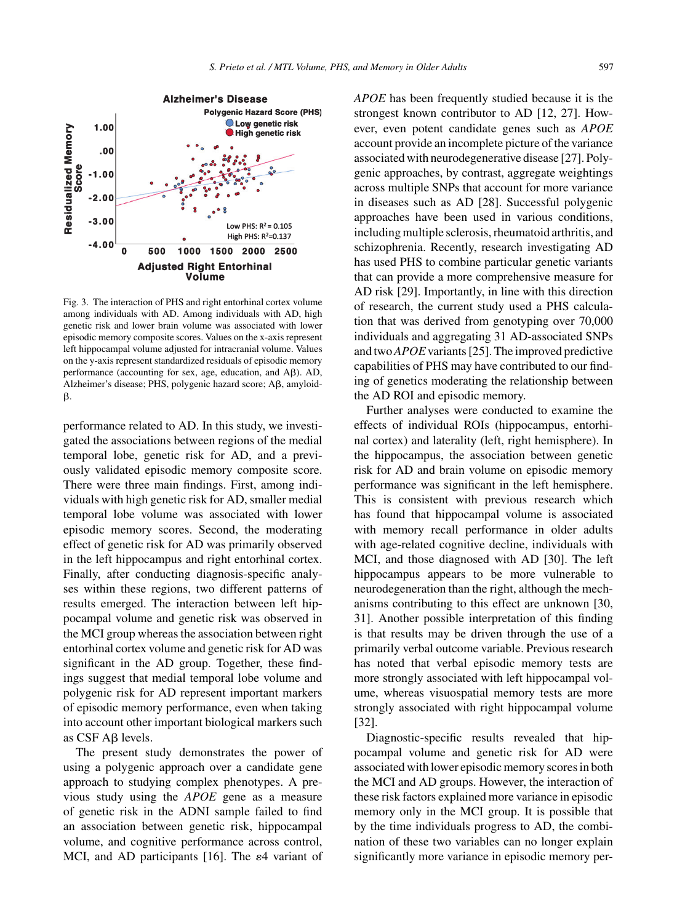

Fig. 3. The interaction of PHS and right entorhinal cortex volume among individuals with AD. Among individuals with AD, high genetic risk and lower brain volume was associated with lower episodic memory composite scores. Values on the x-axis represent left hippocampal volume adjusted for intracranial volume. Values on the y-axis represent standardized residuals of episodic memory performance (accounting for sex, age, education, and  $A\beta$ ).  $AD$ , Alzheimer's disease; PHS, polygenic hazard score; A $\beta$ , amyloidβ.

performance related to AD. In this study, we investigated the associations between regions of the medial temporal lobe, genetic risk for AD, and a previously validated episodic memory composite score. There were three main findings. First, among individuals with high genetic risk for AD, smaller medial temporal lobe volume was associated with lower episodic memory scores. Second, the moderating effect of genetic risk for AD was primarily observed in the left hippocampus and right entorhinal cortex. Finally, after conducting diagnosis-specific analyses within these regions, two different patterns of results emerged. The interaction between left hippocampal volume and genetic risk was observed in the MCI group whereas the association between right entorhinal cortex volume and genetic risk for AD was significant in the AD group. Together, these findings suggest that medial temporal lobe volume and polygenic risk for AD represent important markers of episodic memory performance, even when taking into account other important biological markers such as CSF A<sub>B</sub> levels.

The present study demonstrates the power of using a polygenic approach over a candidate gene approach to studying complex phenotypes. A previous study using the *APOE* gene as a measure of genetic risk in the ADNI sample failed to find an association between genetic risk, hippocampal volume, and cognitive performance across control, MCI, and AD participants [16]. The  $\varepsilon$ 4 variant of

*APOE* has been frequently studied because it is the strongest known contributor to AD [12, 27]. However, even potent candidate genes such as *APOE* account provide an incomplete picture of the variance associated with neurodegenerative disease [27]. Polygenic approaches, by contrast, aggregate weightings across multiple SNPs that account for more variance in diseases such as AD [28]. Successful polygenic approaches have been used in various conditions, including multiple sclerosis, rheumatoid arthritis, and schizophrenia. Recently, research investigating AD has used PHS to combine particular genetic variants that can provide a more comprehensive measure for AD risk [29]. Importantly, in line with this direction of research, the current study used a PHS calculation that was derived from genotyping over 70,000 individuals and aggregating 31 AD-associated SNPs and two*APOE*variants [25]. The improved predictive capabilities of PHS may have contributed to our finding of genetics moderating the relationship between the AD ROI and episodic memory.

Further analyses were conducted to examine the effects of individual ROIs (hippocampus, entorhinal cortex) and laterality (left, right hemisphere). In the hippocampus, the association between genetic risk for AD and brain volume on episodic memory performance was significant in the left hemisphere. This is consistent with previous research which has found that hippocampal volume is associated with memory recall performance in older adults with age-related cognitive decline, individuals with MCI, and those diagnosed with AD [30]. The left hippocampus appears to be more vulnerable to neurodegeneration than the right, although the mechanisms contributing to this effect are unknown [30, 31]. Another possible interpretation of this finding is that results may be driven through the use of a primarily verbal outcome variable. Previous research has noted that verbal episodic memory tests are more strongly associated with left hippocampal volume, whereas visuospatial memory tests are more strongly associated with right hippocampal volume [32].

Diagnostic-specific results revealed that hippocampal volume and genetic risk for AD were associated with lower episodic memory scores in both the MCI and AD groups. However, the interaction of these risk factors explained more variance in episodic memory only in the MCI group. It is possible that by the time individuals progress to AD, the combination of these two variables can no longer explain significantly more variance in episodic memory per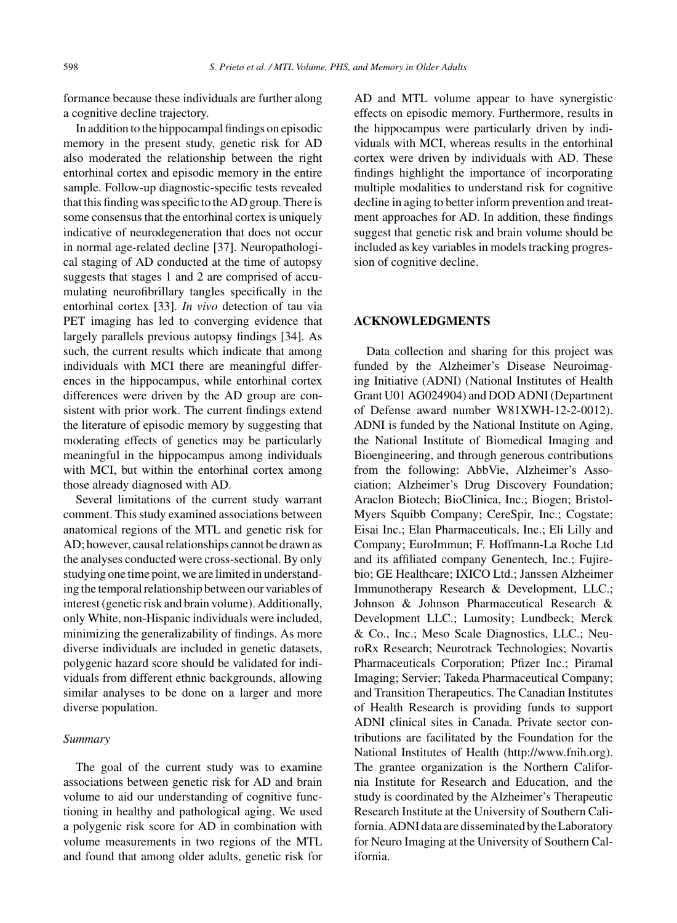formance because these individuals are further along a cognitive decline trajectory.

In addition to the hippocampal findings on episodic memory in the present study, genetic risk for AD also moderated the relationship between the right entorhinal cortex and episodic memory in the entire sample. Follow-up diagnostic-specific tests revealed that this finding was specific to the AD group. There is some consensus that the entorhinal cortex is uniquely indicative of neurodegeneration that does not occur in normal age-related decline [37]. Neuropathological staging of AD conducted at the time of autopsy suggests that stages 1 and 2 are comprised of accumulating neurofibrillary tangles specifically in the entorhinal cortex [33]. *In vivo* detection of tau via PET imaging has led to converging evidence that largely parallels previous autopsy findings [34]. As such, the current results which indicate that among individuals with MCI there are meaningful differences in the hippocampus, while entorhinal cortex differences were driven by the AD group are consistent with prior work. The current findings extend the literature of episodic memory by suggesting that moderating effects of genetics may be particularly meaningful in the hippocampus among individuals with MCI, but within the entorhinal cortex among those already diagnosed with AD.

Several limitations of the current study warrant comment. This study examined associations between anatomical regions of the MTL and genetic risk for AD; however, causal relationships cannot be drawn as the analyses conducted were cross-sectional. By only studying one time point, we are limited in understanding the temporal relationship between our variables of interest (genetic risk and brain volume). Additionally, only White, non-Hispanic individuals were included, minimizing the generalizability of findings. As more diverse individuals are included in genetic datasets, polygenic hazard score should be validated for individuals from different ethnic backgrounds, allowing similar analyses to be done on a larger and more diverse population.

## *Summary*

The goal of the current study was to examine associations between genetic risk for AD and brain volume to aid our understanding of cognitive functioning in healthy and pathological aging. We used a polygenic risk score for AD in combination with volume measurements in two regions of the MTL and found that among older adults, genetic risk for AD and MTL volume appear to have synergistic effects on episodic memory. Furthermore, results in the hippocampus were particularly driven by individuals with MCI, whereas results in the entorhinal cortex were driven by individuals with AD. These findings highlight the importance of incorporating multiple modalities to understand risk for cognitive decline in aging to better inform prevention and treatment approaches for AD. In addition, these findings suggest that genetic risk and brain volume should be included as key variables in models tracking progression of cognitive decline.

## **ACKNOWLEDGMENTS**

Data collection and sharing for this project was funded by the Alzheimer's Disease Neuroimaging Initiative (ADNI) (National Institutes of Health Grant U01 AG024904) and DOD ADNI (Department of Defense award number W81XWH-12-2-0012). ADNI is funded by the National Institute on Aging, the National Institute of Biomedical Imaging and Bioengineering, and through generous contributions from the following: AbbVie, Alzheimer's Association; Alzheimer's Drug Discovery Foundation; Araclon Biotech; BioClinica, Inc.; Biogen; Bristol-Myers Squibb Company; CereSpir, Inc.; Cogstate; Eisai Inc.; Elan Pharmaceuticals, Inc.; Eli Lilly and Company; EuroImmun; F. Hoffmann-La Roche Ltd and its affiliated company Genentech, Inc.; Fujirebio; GE Healthcare; IXICO Ltd.; Janssen Alzheimer Immunotherapy Research & Development, LLC.; Johnson & Johnson Pharmaceutical Research & Development LLC.; Lumosity; Lundbeck; Merck & Co., Inc.; Meso Scale Diagnostics, LLC.; NeuroRx Research; Neurotrack Technologies; Novartis Pharmaceuticals Corporation; Pfizer Inc.; Piramal Imaging; Servier; Takeda Pharmaceutical Company; and Transition Therapeutics. The Canadian Institutes of Health Research is providing funds to support ADNI clinical sites in Canada. Private sector contributions are facilitated by the Foundation for the National Institutes of Health [\(http://www.fnih.org](http://www.fnih.org)). The grantee organization is the Northern California Institute for Research and Education, and the study is coordinated by the Alzheimer's Therapeutic Research Institute at the University of Southern California. ADNI data are disseminated by the Laboratory for Neuro Imaging at the University of Southern California.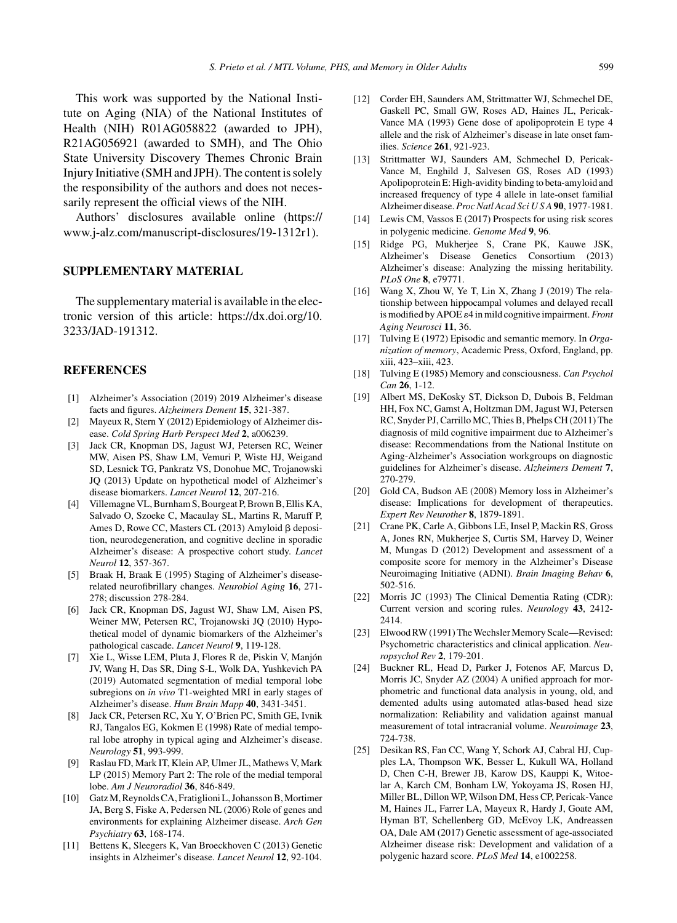This work was supported by the National Institute on Aging (NIA) of the National Institutes of Health (NIH) R01AG058822 (awarded to JPH), R21AG056921 (awarded to SMH), and The Ohio State University Discovery Themes Chronic Brain Injury Initiative (SMH and JPH). The content is solely the responsibility of the authors and does not necessarily represent the official views of the NIH.

Authors' disclosures available online ([https://](https://www.j-alz.com/manuscript-disclosures/19-1312r1) [www.j-alz.com/manuscript-disclosures/19-1312r1\)](https://www.j-alz.com/manuscript-disclosures/19-1312r1).

### **SUPPLEMENTARY MATERIAL**

The supplementary material is available in the electronic version of this article: [https://dx.doi.org/10.](https://dx.doi.org/10.3233/JAD-191312) [3233/JAD-191312.](https://dx.doi.org/10.3233/JAD-191312)

### **REFERENCES**

- [1] Alzheimer's Association (2019) 2019 Alzheimer's disease facts and figures. *Alzheimers Dement* **15**, 321-387.
- [2] Mayeux R, Stern Y (2012) Epidemiology of Alzheimer disease. *Cold Spring Harb Perspect Med* **2**, a006239.
- [3] Jack CR, Knopman DS, Jagust WJ, Petersen RC, Weiner MW, Aisen PS, Shaw LM, Vemuri P, Wiste HJ, Weigand SD, Lesnick TG, Pankratz VS, Donohue MC, Trojanowski JQ (2013) Update on hypothetical model of Alzheimer's disease biomarkers. *Lancet Neurol* **12**, 207-216.
- [4] Villemagne VL, Burnham S, Bourgeat P, Brown B, Ellis KA, Salvado O, Szoeke C, Macaulay SL, Martins R, Maruff P, Ames D, Rowe CC, Masters CL  $(2013)$  Amyloid  $\beta$  deposition, neurodegeneration, and cognitive decline in sporadic Alzheimer's disease: A prospective cohort study. *Lancet Neurol* **12**, 357-367.
- [5] Braak H, Braak E (1995) Staging of Alzheimer's diseaserelated neurofibrillary changes. *Neurobiol Aging* **16**, 271- 278; discussion 278-284.
- [6] Jack CR, Knopman DS, Jagust WJ, Shaw LM, Aisen PS, Weiner MW, Petersen RC, Trojanowski JQ (2010) Hypothetical model of dynamic biomarkers of the Alzheimer's pathological cascade. *Lancet Neurol* **9**, 119-128.
- [7] Xie L, Wisse LEM, Pluta J, Flores R de, Piskin V, Manjon´ JV, Wang H, Das SR, Ding S-L, Wolk DA, Yushkevich PA (2019) Automated segmentation of medial temporal lobe subregions on *in vivo* T1-weighted MRI in early stages of Alzheimer's disease. *Hum Brain Mapp* **40**, 3431-3451.
- [8] Jack CR, Petersen RC, Xu Y, O'Brien PC, Smith GE, Ivnik RJ, Tangalos EG, Kokmen E (1998) Rate of medial temporal lobe atrophy in typical aging and Alzheimer's disease. *Neurology* **51**, 993-999.
- [9] Raslau FD, Mark IT, Klein AP, Ulmer JL, Mathews V, Mark LP (2015) Memory Part 2: The role of the medial temporal lobe. *Am J Neuroradiol* **36**, 846-849.
- [10] Gatz M, Reynolds CA, Fratiglioni L, Johansson B, Mortimer JA, Berg S, Fiske A, Pedersen NL (2006) Role of genes and environments for explaining Alzheimer disease. *Arch Gen Psychiatry* **63**, 168-174.
- [11] Bettens K, Sleegers K, Van Broeckhoven C (2013) Genetic insights in Alzheimer's disease. *Lancet Neurol* **12**, 92-104.
- [12] Corder EH, Saunders AM, Strittmatter WJ, Schmechel DE, Gaskell PC, Small GW, Roses AD, Haines JL, Pericak-Vance MA (1993) Gene dose of apolipoprotein E type 4 allele and the risk of Alzheimer's disease in late onset families. *Science* **261**, 921-923.
- [13] Strittmatter WJ, Saunders AM, Schmechel D, Pericak-Vance M, Enghild J, Salvesen GS, Roses AD (1993) Apolipoprotein E: High-avidity binding to beta-amyloid and increased frequency of type 4 allele in late-onset familial Alzheimer disease. *Proc Natl Acad Sci U S A* **90**, 1977-1981.
- [14] Lewis CM, Vassos E (2017) Prospects for using risk scores in polygenic medicine. *Genome Med* **9**, 96.
- [15] Ridge PG, Mukherjee S, Crane PK, Kauwe JSK, Alzheimer's Disease Genetics Consortium (2013) Alzheimer's disease: Analyzing the missing heritability. *PLoS One* **8**, e79771.
- [16] Wang X, Zhou W, Ye T, Lin X, Zhang J (2019) The relationship between hippocampal volumes and delayed recall is modified by APOE  $\varepsilon$ 4 in mild cognitive impairment. *Front Aging Neurosci* **11**, 36.
- [17] Tulving E (1972) Episodic and semantic memory. In *Organization of memory*, Academic Press, Oxford, England, pp. xiii, 423–xiii, 423.
- [18] Tulving E (1985) Memory and consciousness. *Can Psychol Can* **26**, 1-12.
- [19] Albert MS, DeKosky ST, Dickson D, Dubois B, Feldman HH, Fox NC, Gamst A, Holtzman DM, Jagust WJ, Petersen RC, Snyder PJ, Carrillo MC, Thies B, Phelps CH (2011) The diagnosis of mild cognitive impairment due to Alzheimer's disease: Recommendations from the National Institute on Aging-Alzheimer's Association workgroups on diagnostic guidelines for Alzheimer's disease. *Alzheimers Dement* **7**, 270-279.
- [20] Gold CA, Budson AE (2008) Memory loss in Alzheimer's disease: Implications for development of therapeutics. *Expert Rev Neurother* **8**, 1879-1891.
- [21] Crane PK, Carle A, Gibbons LE, Insel P, Mackin RS, Gross A, Jones RN, Mukherjee S, Curtis SM, Harvey D, Weiner M, Mungas D (2012) Development and assessment of a composite score for memory in the Alzheimer's Disease Neuroimaging Initiative (ADNI). *Brain Imaging Behav* **6**, 502-516.
- [22] Morris JC (1993) The Clinical Dementia Rating (CDR): Current version and scoring rules. *Neurology* **43**, 2412- 2414.
- [23] Elwood RW (1991) The Wechsler Memory Scale—Revised: Psychometric characteristics and clinical application. *Neuropsychol Rev* **2**, 179-201.
- [24] Buckner RL, Head D, Parker J, Fotenos AF, Marcus D, Morris JC, Snyder AZ (2004) A unified approach for morphometric and functional data analysis in young, old, and demented adults using automated atlas-based head size normalization: Reliability and validation against manual measurement of total intracranial volume. *Neuroimage* **23**, 724-738.
- [25] Desikan RS, Fan CC, Wang Y, Schork AJ, Cabral HJ, Cupples LA, Thompson WK, Besser L, Kukull WA, Holland D, Chen C-H, Brewer JB, Karow DS, Kauppi K, Witoelar A, Karch CM, Bonham LW, Yokoyama JS, Rosen HJ, Miller BL, Dillon WP, Wilson DM, Hess CP, Pericak-Vance M, Haines JL, Farrer LA, Mayeux R, Hardy J, Goate AM, Hyman BT, Schellenberg GD, McEvoy LK, Andreassen OA, Dale AM (2017) Genetic assessment of age-associated Alzheimer disease risk: Development and validation of a polygenic hazard score. *PLoS Med* **14**, e1002258.